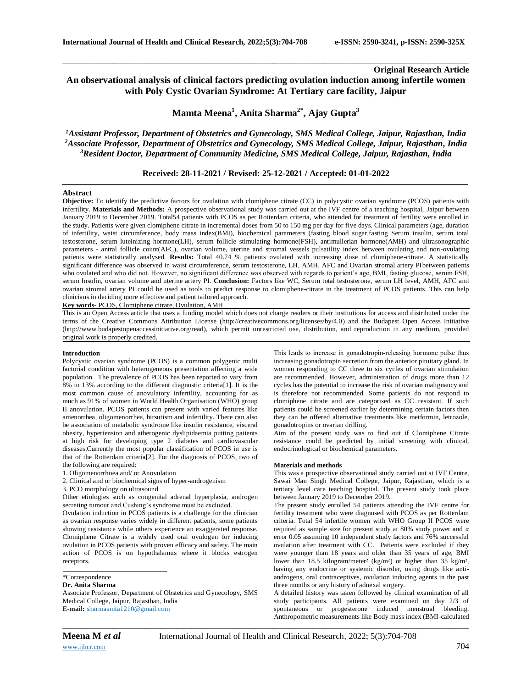# **Original Research Article An observational analysis of clinical factors predicting ovulation induction among infertile women with Poly Cystic Ovarian Syndrome: At Tertiary care facility, Jaipur**

\_\_\_\_\_\_\_\_\_\_\_\_\_\_\_\_\_\_\_\_\_\_\_\_\_\_\_\_\_\_\_\_\_\_\_\_\_\_\_\_\_\_\_\_\_\_\_\_\_\_\_\_\_\_\_\_\_\_\_\_\_\_\_\_\_\_\_\_\_\_\_\_\_\_\_\_\_\_\_\_\_\_\_\_\_\_\_\_\_\_\_\_\_\_\_\_\_\_\_\_\_\_\_\_

**Mamta Meena<sup>1</sup> , Anita Sharma2\* , Ajay Gupta<sup>3</sup>**

*<sup>1</sup>Assistant Professor, Department of Obstetrics and Gynecology, SMS Medical College, Jaipur, Rajasthan, India <sup>2</sup>Associate Professor, Department of Obstetrics and Gynecology, SMS Medical College, Jaipur, Rajasthan, India <sup>3</sup>Resident Doctor, Department of Community Medicine, SMS Medical College, Jaipur, Rajasthan, India*

## **Received: 28-11-2021 / Revised: 25-12-2021 / Accepted: 01-01-2022**

#### **Abstract**

**Objective:** To identify the predictive factors for ovulation with clomiphene citrate (CC) in polycystic ovarian syndrome (PCOS) patients with infertility. **Materials and Methods:** A prospective observational study was carried out at the IVF centre of a teaching hospital, Jaipur between January 2019 to December 2019. Total54 patients with PCOS as per Rotterdam criteria, who attended for treatment of fertility were enrolled in the study. Patients were given clomiphene citrate in incremental doses from 50 to 150 mg per day for five days. Clinical parameters (age, duration of infertility, waist circumference, body mass index(BMI), biochemical parameters (fasting blood sugar,fasting Serum insulin, serum total testosterone, serum luteinizing hormone(LH), serum follicle stimulating hormone(FSH), antimullerian hormone(AMH) and ultrasonographic parameters - antral follicle count(AFC), ovarian volume, uterine and stromal vessels pulsatility index between ovulating and non-ovulating patients were statistically analysed. **Results:** Total 40.74 % patients ovulated with increasing dose of clomiphene-citrate. A statistically significant difference was observed in waist circumference, serum testosterone, LH, AMH, AFC and Ovarian stromal artery PIbetween patients who ovulated and who did not. However, no significant difference was observed with regards to patient's age, BMI, fasting glucose, serum FSH, serum Insulin, ovarian volume and uterine artery PI. **Conclusion:** Factors like WC, Serum total testosterone, serum LH level, AMH, AFC and ovarian stromal artery PI could be used as tools to predict response to clomiphene-citrate in the treatment of PCOS patients. This can help clinicians in deciding more effective and patient tailored approach.

**Key words-** PCOS, Clomiphene citrate, Ovulation, AMH

This is an Open Access article that uses a funding model which does not charge readers or their institutions for access and distributed under the terms of the Creative Commons Attribution License (http://creativecommons.org/licenses/by/4.0) and the Budapest Open Access Initiative (http://www.budapestopenaccessinitiative.org/read), which permit unrestricted use, distribution, and reproduction in any medium, provided original work is properly credited.

### **Introduction**

Polycystic ovarian syndrome (PCOS) is a common polygenic multi factorial condition with heterogeneous presentation affecting a wide population. The prevalence of PCOS has been reported to vary from 8% to 13% according to the different diagnostic criteria[1]. It is the most common cause of anovulatory infertility, accounting for as much as 91% of women in World Health Organisation (WHO) group II anovulation. PCOS patients can present with varied features like amenorrhea, oligomenorrhea, hirsutism and infertility. There can also be association of metabolic syndrome like insulin resistance, visceral obesity, hypertension and atherogenic dyslipidaemia putting patients at high risk for developing type 2 diabetes and cardiovascular diseases.Currently the most popular classification of PCOS in use is that of the Rotterdam criteria[2]. For the diagnosis of PCOS, two of the following are required:

- 1. Oligomenorrhoea and/ or Anovulation
- 2. Clinical and or biochemical signs of hyper-androgenism
- 3. PCO morphology on ultrasound

Other etiologies such as congenital adrenal hyperplasia, androgen secreting tumour and Cushing's syndrome must be excluded.

Ovulation induction in PCOS patients is a challenge for the clinician as ovarian response varies widely in different patients, some patients showing resistance while others experience an exaggerated response. Clomiphene Citrate is a widely used oral ovulogen for inducing ovulation in PCOS patients with proven efficacy and safety. The main action of PCOS is on hypothalamus where it blocks estrogen receptors.

# \*Correspondence

#### **Dr. Anita Sharma**

Associate Professor, Department of Obstetrics and Gynecology, SMS Medical College, Jaipur, Rajasthan, India **E-mail:** sharmaanita1210@gmail.com

This leads to increase in gonadotropin‐releasing hormone pulse thus increasing gonadotropin secretion from the anterior pituitary gland. In women responding to CC three to six cycles of ovarian stimulation are recommended. However, administration of drugs more than 12 cycles has the potential to increase the risk of ovarian malignancy and is therefore not recommended. Some patients do not respond to clomiphene citrate and are categorised as CC resistant. If such patients could be screened earlier by determining certain factors then they can be offered alternative treatments like metformin, letrozole, gonadotropins or ovarian drilling.

Aim of the present study was to find out if Clomiphene Citrate resistance could be predicted by initial screening with clinical, endocrinological or biochemical parameters.

#### **Materials and methods**

This was a prospective observational study carried out at IVF Centre, Sawai Man Singh Medical College, Jaipur, Rajasthan, which is a tertiary level care teaching hospital. The present study took place between January 2019 to December 2019.

The present study enrolled 54 patients attending the IVF centre for fertility treatment who were diagnosed with PCOS as per Rotterdam criteria. Total 54 infertile women with WHO Group II PCOS were required as sample size for present study at 80% study power and α error 0.05 assuming 10 independent study factors and 76% successful ovulation after treatment with CC. Patients were excluded if they were younger than 18 years and older than 35 years of age, BMI lower than 18.5 kilogram/meter<sup>2</sup> (kg/m<sup>2</sup>) or higher than 35 kg/m<sup>2</sup>, having any endocrine or systemic disorder, using drugs like antiandrogens, oral contraceptives, ovulation inducing agents in the past three months or any history of adnexal surgery.

A detailed history was taken followed by clinical examination of all study participants. All patients were examined on day 2/3 of spontaneous or progesterone induced menstrual bleeding. Anthropometric measurements like Body mass index (BMI-calculated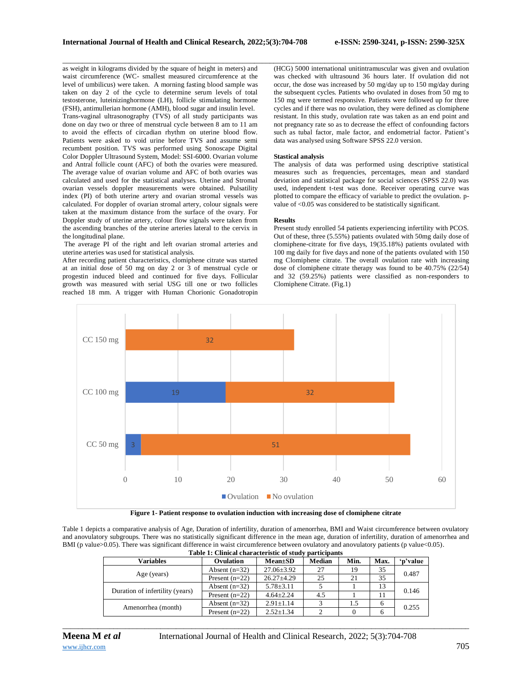\_\_\_\_\_\_\_\_\_\_\_\_\_\_\_\_\_\_\_\_\_\_\_\_\_\_\_\_\_\_\_\_\_\_\_\_\_\_\_\_\_\_\_\_\_\_\_\_\_\_\_\_\_\_\_\_\_\_\_\_\_\_\_\_\_\_\_\_\_\_\_\_\_\_\_\_\_\_\_\_\_\_\_\_\_\_\_\_\_\_\_\_\_\_\_\_\_\_\_\_\_\_\_\_ as weight in kilograms divided by the square of height in meters) and waist circumference (WC- smallest measured circumference at the level of umbilicus) were taken. A morning fasting blood sample was taken on day 2 of the cycle to determine serum levels of total testosterone, luteinizinghormone (LH), follicle stimulating hormone (FSH), antimullerian hormone (AMH), blood sugar and insulin level. Trans-vaginal ultrasonography (TVS) of all study participants was done on day two or three of menstrual cycle between 8 am to 11 am to avoid the effects of circadian rhythm on uterine blood flow. Patients were asked to void urine before TVS and assume semi recumbent position. TVS was performed using Sonoscape Digital Color Doppler Ultrasound System, Model: SSI-6000. Ovarian volume and Antral follicle count (AFC) of both the ovaries were measured. The average value of ovarian volume and AFC of both ovaries was calculated and used for the statistical analyses. Uterine and Stromal ovarian vessels doppler measurements were obtained. Pulsatility index (PI) of both uterine artery and ovarian stromal vessels was calculated. For doppler of ovarian stromal artery, colour signals were taken at the maximum distance from the surface of the ovary. For Doppler study of uterine artery, colour flow signals were taken from the ascending branches of the uterine arteries lateral to the cervix in the longitudinal plane.

The average PI of the right and left ovarian stromal arteries and uterine arteries was used for statistical analysis.

After recording patient characteristics, clomiphene citrate was started at an initial dose of 50 mg on day 2 or 3 of menstrual cycle or progestin induced bleed and continued for five days. Follicular growth was measured with serial USG till one or two follicles reached 18 mm. A trigger with Human Chorionic Gonadotropin

(HCG) 5000 international unitintramuscular was given and ovulation was checked with ultrasound 36 hours later. If ovulation did not occur, the dose was increased by 50 mg/day up to 150 mg/day during the subsequent cycles. Patients who ovulated in doses from 50 mg to 150 mg were termed responsive. Patients were followed up for three cycles and if there was no ovulation, they were defined as clomiphene resistant. In this study, ovulation rate was taken as an end point and not pregnancy rate so as to decrease the effect of confounding factors such as tubal factor, male factor, and endometrial factor. Patient's data was analysed using Software SPSS 22.0 version.

#### **Stastical analysis**

The analysis of data was performed using descriptive statistical measures such as frequencies, percentages, mean and standard deviation and statistical package for social sciences (SPSS 22.0) was used, independent t-test was done. Receiver operating curve was plotted to compare the efficacy of variable to predict the ovulation. pvalue of <0.05 was considered to be statistically significant.

#### **Results**

Present study enrolled 54 patients experiencing infertility with PCOS. Out of these, three (5.55%) patients ovulated with 50mg daily dose of clomiphene-citrate for five days, 19(35.18%) patients ovulated with 100 mg daily for five days and none of the patients ovulated with 150 mg Clomiphene citrate. The overall ovulation rate with increasing dose of clomiphene citrate therapy was found to be 40.75% (22/54) and 32 (59.25%) patients were classified as non-responders to Clomiphene Citrate. (Fig.1)



**Figure 1- Patient response to ovulation induction with increasing dose of clomiphene citrate**

Table 1 depicts a comparative analysis of Age, Duration of infertility, duration of amenorrhea, BMI and Waist circumference between ovulatory and anovulatory subgroups. There was no statistically significant difference in the mean age, duration of infertility, duration of amenorrhea and BMI (p value>0.05). There was significant difference in waist circumference between ovulatory and anovulatory patients (p value<0.05).

| Table 1: Clinical characteristic of study participants |                  |                  |               |      |      |          |  |  |
|--------------------------------------------------------|------------------|------------------|---------------|------|------|----------|--|--|
| Variables                                              | Ovulation        | <b>Mean</b> ±SD  | <b>Median</b> | Min. | Max. | 'p'value |  |  |
| Age (years)                                            | Absent $(n=32)$  | $27.06 \pm 3.92$ | 27            | 19   | 35   | 0.487    |  |  |
|                                                        | Present $(n=22)$ | $26.27 \pm 4.29$ | 25            | 21   | 35   |          |  |  |
| Duration of infertility (years)                        | Absent $(n=32)$  | $5.78 \pm 3.11$  |               |      | 13   | 0.146    |  |  |
|                                                        | Present $(n=22)$ | $4.64 \pm 2.24$  | 4.5           |      |      |          |  |  |
| Amenorrhea (month)                                     | Absent $(n=32)$  | $2.91 \pm 1.14$  |               | 1.5  | 6    | 0.255    |  |  |
|                                                        | Present $(n=22)$ | $2.52 \pm 1.34$  | ↑             |      | 6    |          |  |  |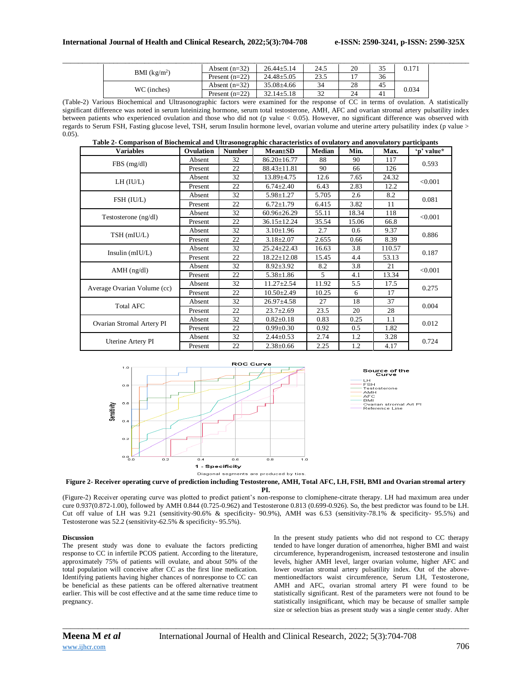|  | BMI $(kg/m2)$ | Absent $(n=32)$  | $26.44 \pm 5.14$ | 24.5 | 20 | $\sim$<br>ັ | 0.171 |
|--|---------------|------------------|------------------|------|----|-------------|-------|
|  |               | Present $(n=22)$ | $24.48 \pm 5.05$ | 23.5 |    | 36          |       |
|  | WC (inches)   | Absent $(n=32)$  | $35.08 \pm 4.66$ | 34   | 28 | -45         | 0.034 |
|  |               | Present $(n=22)$ | $32.14 \pm 5.18$ | 32   | 24 | -41         |       |

(Table-2) Various Biochemical and Ultrasonographic factors were examined for the response of CC in terms of ovulation. A statistically significant difference was noted in serum luteinizing hormone, serum total testosterone, AMH, AFC and ovarian stromal artery pulsatility index between patients who experienced ovulation and those who did not (p value < 0.05). However, no significant difference was observed with regards to Serum FSH, Fasting glucose level, TSH, serum Insulin hormone level, ovarian volume and uterine artery pulsatility index (p value > 0.05).

**Table 2- Comparison of Biochemical and Ultrasonographic characteristics of ovulatory and anovulatory participants**

| <b>Variables</b>            | Ovulation | <b>Number</b> | $Mean \pm SD$     | <b>Median</b> | Min.  | Max.   | 'p' value* |
|-----------------------------|-----------|---------------|-------------------|---------------|-------|--------|------------|
| FBS(mg/dl)                  | Absent    | 32            | $86.20 \pm 16.77$ | 88            | 90    | 117    | 0.593      |
|                             | Present   | 22            | $88.43 \pm 11.81$ | 90            | 66    | 126    |            |
| LH (IU/L)                   | Absent    | 32            | $13.89 + 4.75$    | 12.6          | 7.65  | 24.32  | < 0.001    |
|                             | Present   | 22            | $6.74 \pm 2.40$   | 6.43          | 2.83  | 12.2   |            |
| FSH (IU/L)                  | Absent    | 32            | $5.98 \pm 1.27$   | 5.705         | 2.6   | 8.2    | 0.081      |
|                             | Present   | 22            | $6.72 \pm 1.79$   | 6.415         | 3.82  | 11     |            |
| Testosterone (ng/dl)        | Absent    | 32            | $60.96 \pm 26.29$ | 55.11         | 18.34 | 118    | < 0.001    |
|                             | Present   | 22            | $36.15 \pm 12.24$ | 35.54         | 15.06 | 66.8   |            |
| TSH (mIU/L)                 | Absent    | 32            | $3.10 \pm 1.96$   | 2.7           | 0.6   | 9.37   | 0.886      |
|                             | Present   | 22            | $3.18 \pm 2.07$   | 2.655         | 0.66  | 8.39   |            |
| Insulin $(mIU/L)$           | Absent    | 32            | $25.24 \pm 22.43$ | 16.63         | 3.8   | 110.57 | 0.187      |
|                             | Present   | 22            | $18.22 \pm 12.08$ | 15.45         | 4.4   | 53.13  |            |
| $AMH$ (ng/dl)               | Absent    | 32            | $8.92 \pm 3.92$   | 8.2           | 3.8   | 21     | < 0.001    |
|                             | Present   | 22            | $5.38 \pm 1.86$   | 5.            | 4.1   | 13.34  |            |
| Average Ovarian Volume (cc) | Absent    | 32            | $11.27 \pm 2.54$  | 11.92         | 5.5   | 17.5   | 0.275      |
|                             | Present   | 22            | $10.50 \pm 2.49$  | 10.25         | 6     | 17     |            |
| <b>Total AFC</b>            | Absent    | 32            | $26.97 \pm 4.58$  | 27            | 18    | 37     | 0.004      |
|                             | Present   | 22            | $23.7 \pm 2.69$   | 23.5          | 20    | 28     |            |
| Ovarian Stromal Artery PI   | Absent    | 32            | $0.82 \pm 0.18$   | 0.83          | 0.25  | 1.1    | 0.012      |
|                             | Present   | 22            | $0.99 \pm 0.30$   | 0.92          | 0.5   | 1.82   |            |
| Uterine Artery PI           | Absent    | 32            | $2.44 \pm 0.53$   | 2.74          | 1.2   | 3.28   | 0.724      |
|                             | Present   | 22            | $2.38 \pm 0.66$   | 2.25          | 1.2   | 4.17   |            |







(Figure-2) Receiver operating curve was plotted to predict patient's non-response to clomiphene-citrate therapy. LH had maximum area under cure 0.937(0.872-1.00), followed by AMH 0.844 (0.725-0.962) and Testosterone 0.813 (0.699-0.926). So, the best predictor was found to be LH. Cut off value of LH was 9.21 (sensitivity-90.6% & specificity- 90.9%), AMH was 6.53 (sensitivity-78.1% & specificity- 95.5%) and Testosterone was 52.2 (sensitivity-62.5% & specificity- 95.5%).

#### **Discussion**

The present study was done to evaluate the factors predicting response to CC in infertile PCOS patient. According to the literature, approximately 75% of patients will ovulate, and about 50% of the total population will conceive after CC as the first line medication. Identifying patients having higher chances of nonresponse to CC can be beneficial as these patients can be offered alternative treatment earlier. This will be cost effective and at the same time reduce time to pregnancy.

In the present study patients who did not respond to CC therapy tended to have longer duration of amenorrhea, higher BMI and waist circumference, hyperandrogenism, increased testosterone and insulin levels, higher AMH level, larger ovarian volume, higher AFC and lower ovarian stromal artery pulsatility index. Out of the abovementionedfactors waist circumference, Serum LH, Testosterone, AMH and AFC, ovarian stromal artery PI were found to be statistically significant. Rest of the parameters were not found to be statistically insignificant, which may be because of smaller sample size or selection bias as present study was a single center study. After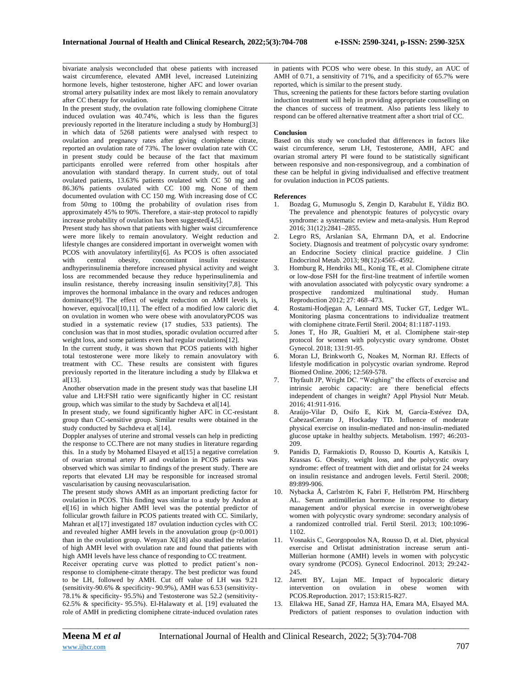bivariate analysis weconcluded that obese patients with increased waist circumference, elevated AMH level, increased Luteinizing hormone levels, higher testosterone, higher AFC and lower ovarian stromal artery pulsatility index are most likely to remain anovulatory after CC therapy for ovulation.

In the present study, the ovulation rate following clomiphene Citrate induced ovulation was 40.74%, which is less than the figures previously reported in the literature including a study by Homburg[3] in which data of 5268 patients were analysed with respect to ovulation and pregnancy rates after giving clomiphene citrate, reported an ovulation rate of 73%. The lower ovulation rate with CC in present study could be because of the fact that maximum participants enrolled were referred from other hospitals after anovulation with standard therapy. In current study, out of total ovulated patients, 13.63% patients ovulated with CC 50 mg and 86.36% patients ovulated with CC 100 mg. None of them documented ovulation with CC 150 mg. With increasing dose of CC from 50mg to 100mg the probability of ovulation rises from approximately 45% to 90%. Therefore, a stair‐step protocol to rapidly increase probability of ovulation has been suggested[4,5].

Present study has shown that patients with higher waist circumference were more likely to remain anovulatory. Weight reduction and lifestyle changes are considered important in overweight women with PCOS with anovulatory infertility[6]. As PCOS is often associated with central obesity, concomitant insulin resistance andhyperinsulinemia therefore increased physical activity and weight loss are recommended because they reduce hyperinsulinemia and insulin resistance, thereby increasing insulin sensitivity[7,8]. This improves the hormonal imbalance in the ovary and reduces androgen dominance[9]. The effect of weight reduction on AMH levels is, however, equivocal[10,11]. The effect of a modified low caloric diet on ovulation in women who were obese with anovulatoryPCOS was studied in a systematic review (17 studies, 533 patients). The conclusion was that in most studies, sporadic ovulation occurred after weight loss, and some patients even had regular ovulations[12].

In the current study, it was shown that PCOS patients with higher total testosterone were more likely to remain anovulatory with treatment with CC. These results are consistent with figures previously reported in the literature including a study by Ellakwa et al<sup>[13]</sup>.

Another observation made in the present study was that baseline LH value and LH:FSH ratio were significantly higher in CC resistant group, which was similar to the study by Sachdeva et al[14].

In present study, we found significantly higher AFC in CC-resistant group than CC-sensitive group. Similar results were obtained in the study conducted by Sachdeva et al[14].

Doppler analyses of uterine and stromal vessels can help in predicting the response to CC.There are not many studies in literature regarding this. In a study by Mohamed Elsayed et al[15] a negative correlation of ovarian stromal artery PI and ovulation in PCOS patients was observed which was similar to findings of the present study. There are reports that elevated LH may be responsible for increased stromal vascularisation by causing neovascularisation.

The present study shows AMH as an important predicting factor for ovulation in PCOS. This finding was similar to a study by Andon at el[16] in which higher AMH level was the potential predictor of follicular growth failure in PCOS patients treated with CC. Similarly, Mahran et al<sup>[17]</sup> investigated 187 ovulation induction cycles with CC and revealed higher AMH levels in the anovulation group  $(p<0.001)$ than in the ovulation group. Wenyan Xi[18] also studied the relation of high AMH level with ovulation rate and found that patients with high AMH levels have less chance of responding to CC treatment.

Receiver operating curve was plotted to predict patient's nonresponse to clomiphene-citrate therapy. The best predictor was found to be LH, followed by AMH. Cut off value of LH was 9.21 (sensitivity-90.6% & specificity- 90.9%), AMH was 6.53 (sensitivity-78.1% & specificity- 95.5%) and Testosterone was 52.2 (sensitivity-62.5% & specificity- 95.5%). El-Halawaty et al. [19] evaluated the role of AMH in predicting clomiphene citrate-induced ovulation rates

in patients with PCOS who were obese. In this study, an AUC of AMH of 0.71, a sensitivity of 71%, and a specificity of 65.7% were reported, which is similar to the present study.

Thus, screening the patients for these factors before starting ovulation induction treatment will help in providing appropriate counselling on the chances of success of treatment. Also patients less likely to respond can be offered alternative treatment after a short trial of CC.

### **Conclusion**

\_\_\_\_\_\_\_\_\_\_\_\_\_\_\_\_\_\_\_\_\_\_\_\_\_\_\_\_\_\_\_\_\_\_\_\_\_\_\_\_\_\_\_\_\_\_\_\_\_\_\_\_\_\_\_\_\_\_\_\_\_\_\_\_\_\_\_\_\_\_\_\_\_\_\_\_\_\_\_\_\_\_\_\_\_\_\_\_\_\_\_\_\_\_\_\_\_\_\_\_\_\_\_\_

Based on this study we concluded that differences in factors like waist circumference, serum LH, Testosterone, AMH, AFC and ovarian stromal artery PI were found to be statistically significant between responsive and non-responsivegroup, and a combination of these can be helpful in giving individualised and effective treatment for ovulation induction in PCOS patients.

### **References**

- 1. Bozdag G, Mumusoglu S, Zengin D, Karabulut E, Yildiz BO. The prevalence and phenotypic features of polycystic ovary syndrome: a systematic review and meta-analysis. Hum Reprod 2016; 31(12):2841–2855.
- Legro RS, Arslanian SA, Ehrmann DA, et al. Endocrine Society. Diagnosis and treatment of polycystic ovary syndrome: an Endocrine Society clinical practice guideline. J Clin Endocrinol Metab. 2013; 98(12):4565–4592.
- 3. Homburg R, Hendriks ML, Konig TE, et al. Clomiphene citrate or low-dose FSH for the first-line treatment of infertile women with anovulation associated with polycystic ovary syndrome: a prospective randomized multinational study. Human Reproduction 2012; 27: 468–473.
- 4. Rostami-Hodjegan A, Lennard MS, Tucker GT, Ledger WL. Monitoring plasma concentrations to individualize treatment with clomiphene citrate.Fertil Steril. 2004; 81:1187-1193.
- 5. Jones T, Ho JR, Gualtieri M, et al. Clomiphene stair-step protocol for women with polycystic ovary syndrome. Obstet Gynecol. 2018; 131:91-95.
- 6. Moran LJ, Brinkworth G, Noakes M, Norman RJ. Effects of lifestyle modification in polycystic ovarian syndrome. Reprod Biomed Online. 2006; 12:569-578.
- Thyfault JP, Wright DC. "Weighing" the effects of exercise and intrinsic aerobic capacity: are there beneficial effects independent of changes in weight? Appl Physiol Nutr Metab. 2016; 41:911-916.
- 8. Araújo-Vilar D, Osifo E, Kirk M, García-Estévez DA, CabezasCerrato J, Hockaday TD. Influence of moderate physical exercise on insulin-mediated and non-insulin-mediated glucose uptake in healthy subjects. Metabolism. 1997; 46:203- 209.
- 9. Panidis D, Farmakiotis D, Rousso D, Kourtis A, Katsikis I, Krassas G. Obesity, weight loss, and the polycystic ovary syndrome: effect of treatment with diet and orlistat for 24 weeks on insulin resistance and androgen levels. Fertil Steril. 2008; 89:899-906.
- 10. Nybacka Å, Carlström K, Fabri F, Hellström PM, Hirschberg AL. Serum antimüllerian hormone in response to dietary management and/or physical exercise in overweight/obese women with polycystic ovary syndrome: secondary analysis of a randomized controlled trial. Fertil Steril. 2013; 100:1096- 1102.
- 11. Vosnakis C, Georgopoulos NA, Rousso D, et al. Diet, physical exercise and Orlistat administration increase serum anti-Müllerian hormone (AMH) levels in women with polycystic ovary syndrome (PCOS). Gynecol Endocrinol. 2013; 29:242- 245.
- 12. Jarrett BY, Lujan ME. Impact of hypocaloric dietary intervention on ovulation in obese women with PCOS.Reproduction. 2017; 153:R15-R27.
- 13. Ellakwa HE, Sanad ZF, Hamza HA, Emara MA, Elsayed MA. Predictors of patient responses to ovulation induction with